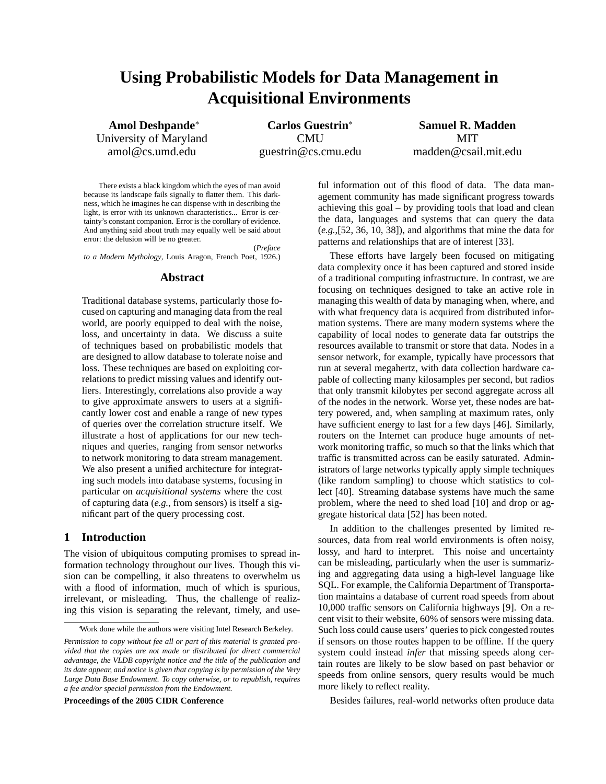# **Using Probabilistic Models for Data Management in Acquisitional Environments**

University of Maryland CMU CMU MIT amol@cs.umd.edu guestrin@cs.cmu.edu madden@csail.mit.edu

**Amol Deshpande**<sup>∗</sup> **Carlos Guestrin**<sup>∗</sup> **Samuel R. Madden**

There exists a black kingdom which the eyes of man avoid because its landscape fails signally to flatter them. This darkness, which he imagines he can dispense with in describing the light, is error with its unknown characteristics... Error is certainty's constant companion. Error is the corollary of evidence. And anything said about truth may equally well be said about error: the delusion will be no greater.

(*Preface to a Modern Mythology*, Louis Aragon, French Poet, 1926.)

### **Abstract**

Traditional database systems, particularly those focused on capturing and managing data from the real world, are poorly equipped to deal with the noise, loss, and uncertainty in data. We discuss a suite of techniques based on probabilistic models that are designed to allow database to tolerate noise and loss. These techniques are based on exploiting correlations to predict missing values and identify outliers. Interestingly, correlations also provide a way to give approximate answers to users at a significantly lower cost and enable a range of new types of queries over the correlation structure itself. We illustrate a host of applications for our new techniques and queries, ranging from sensor networks to network monitoring to data stream management. We also present a unified architecture for integrating such models into database systems, focusing in particular on *acquisitional systems* where the cost of capturing data (*e.g.*, from sensors) is itself a significant part of the query processing cost.

## **1 Introduction**

The vision of ubiquitous computing promises to spread information technology throughout our lives. Though this vision can be compelling, it also threatens to overwhelm us with a flood of information, much of which is spurious, irrelevant, or misleading. Thus, the challenge of realizing this vision is separating the relevant, timely, and use-

**Proceedings of the 2005 CIDR Conference**

ful information out of this flood of data. The data management community has made significant progress towards achieving this goal – by providing tools that load and clean the data, languages and systems that can query the data (*e.g.*,[52, 36, 10, 38]), and algorithms that mine the data for patterns and relationships that are of interest [33].

These efforts have largely been focused on mitigating data complexity once it has been captured and stored inside of a traditional computing infrastructure. In contrast, we are focusing on techniques designed to take an active role in managing this wealth of data by managing when, where, and with what frequency data is acquired from distributed information systems. There are many modern systems where the capability of local nodes to generate data far outstrips the resources available to transmit or store that data. Nodes in a sensor network, for example, typically have processors that run at several megahertz, with data collection hardware capable of collecting many kilosamples per second, but radios that only transmit kilobytes per second aggregate across all of the nodes in the network. Worse yet, these nodes are battery powered, and, when sampling at maximum rates, only have sufficient energy to last for a few days [46]. Similarly, routers on the Internet can produce huge amounts of network monitoring traffic, so much so that the links which that traffic is transmitted across can be easily saturated. Administrators of large networks typically apply simple techniques (like random sampling) to choose which statistics to collect [40]. Streaming database systems have much the same problem, where the need to shed load [10] and drop or aggregate historical data [52] has been noted.

In addition to the challenges presented by limited resources, data from real world environments is often noisy, lossy, and hard to interpret. This noise and uncertainty can be misleading, particularly when the user is summarizing and aggregating data using a high-level language like SQL. For example, the California Department of Transportation maintains a database of current road speeds from about 10,000 traffic sensors on California highways [9]. On a recent visit to their website, 60% of sensors were missing data. Such loss could cause users' queries to pick congested routes if sensors on those routes happen to be offline. If the query system could instead *infer* that missing speeds along certain routes are likely to be slow based on past behavior or speeds from online sensors, query results would be much more likely to reflect reality.

Besides failures, real-world networks often produce data

<sup>∗</sup>Work done while the authors were visiting Intel Research Berkeley.

*Permission to copy without fee all or part of this material is granted provided that the copies are not made or distributed for direct commercial advantage, the VLDB copyright notice and the title of the publication and its date appear, and notice is given that copying is by permission of the Very Large Data Base Endowment. To copy otherwise, or to republish, requires a fee and/or special permission from the Endowment.*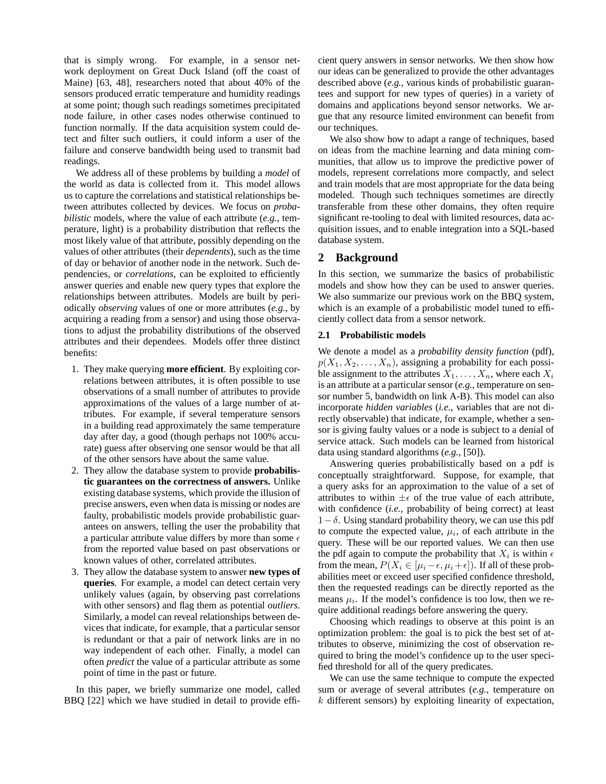that is simply wrong. For example, in a sensor network deployment on Great Duck Island (off the coast of Maine) [63, 48], researchers noted that about 40% of the sensors produced erratic temperature and humidity readings at some point; though such readings sometimes precipitated node failure, in other cases nodes otherwise continued to function normally. If the data acquisition system could detect and filter such outliers, it could inform a user of the failure and conserve bandwidth being used to transmit bad readings.

We address all of these problems by building a *model* of the world as data is collected from it. This model allows us to capture the correlations and statistical relationships between attributes collected by devices. We focus on *probabilistic* models, where the value of each attribute (*e.g.*, temperature, light) is a probability distribution that reflects the most likely value of that attribute, possibly depending on the values of other attributes (their *dependents*), such as the time of day or behavior of another node in the network. Such dependencies, or *correlations*, can be exploited to efficiently answer queries and enable new query types that explore the relationships between attributes. Models are built by periodically *observing* values of one or more attributes (*e.g.*, by acquiring a reading from a sensor) and using those observations to adjust the probability distributions of the observed attributes and their dependees. Models offer three distinct benefits:

- 1. They make querying **more efficient**. By exploiting correlations between attributes, it is often possible to use observations of a small number of attributes to provide approximations of the values of a large number of attributes. For example, if several temperature sensors in a building read approximately the same temperature day after day, a good (though perhaps not 100% accurate) guess after observing one sensor would be that all of the other sensors have about the same value.
- 2. They allow the database system to provide **probabilistic guarantees on the correctness of answers.** Unlike existing database systems, which provide the illusion of precise answers, even when data is missing or nodes are faulty, probabilistic models provide probabilistic guarantees on answers, telling the user the probability that a particular attribute value differs by more than some  $\epsilon$ from the reported value based on past observations or known values of other, correlated attributes.
- 3. They allow the database system to answer **new types of queries**. For example, a model can detect certain very unlikely values (again, by observing past correlations with other sensors) and flag them as potential *outliers*. Similarly, a model can reveal relationships between devices that indicate, for example, that a particular sensor is redundant or that a pair of network links are in no way independent of each other. Finally, a model can often *predict* the value of a particular attribute as some point of time in the past or future.

In this paper, we briefly summarize one model, called BBQ [22] which we have studied in detail to provide effi-

cient query answers in sensor networks. We then show how our ideas can be generalized to provide the other advantages described above (*e.g.*, various kinds of probabilistic guarantees and support for new types of queries) in a variety of domains and applications beyond sensor networks. We argue that any resource limited environment can benefit from our techniques.

We also show how to adapt a range of techniques, based on ideas from the machine learning and data mining communities, that allow us to improve the predictive power of models, represent correlations more compactly, and select and train models that are most appropriate for the data being modeled. Though such techniques sometimes are directly transferable from these other domains, they often require significant re-tooling to deal with limited resources, data acquisition issues, and to enable integration into a SQL-based database system.

## **2 Background**

In this section, we summarize the basics of probabilistic models and show how they can be used to answer queries. We also summarize our previous work on the BBQ system, which is an example of a probabilistic model tuned to efficiently collect data from a sensor network.

#### **2.1 Probabilistic models**

We denote a model as a *probability density function* (pdf),  $p(X_1, X_2, \ldots, X_n)$ , assigning a probability for each possible assignment to the attributes  $X_1, \ldots, X_n$ , where each  $X_i$ is an attribute at a particular sensor (*e.g.*, temperature on sensor number 5, bandwidth on link A-B). This model can also incorporate *hidden variables* (*i.e.*, variables that are not directly observable) that indicate, for example, whether a sensor is giving faulty values or a node is subject to a denial of service attack. Such models can be learned from historical data using standard algorithms (*e.g.*, [50]).

Answering queries probabilistically based on a pdf is conceptually straightforward. Suppose, for example, that a query asks for an approximation to the value of a set of attributes to within  $\pm \epsilon$  of the true value of each attribute, with confidence (*i.e.*, probability of being correct) at least  $1-\delta$ . Using standard probability theory, we can use this pdf to compute the expected value,  $\mu_i$ , of each attribute in the query. These will be our reported values. We can then use the pdf again to compute the probability that  $X_i$  is within  $\epsilon$ from the mean,  $P(X_i \in [\mu_i - \epsilon, \mu_i + \epsilon])$ . If all of these probabilities meet or exceed user specified confidence threshold, then the requested readings can be directly reported as the means  $\mu_i$ . If the model's confidence is too low, then we require additional readings before answering the query.

Choosing which readings to observe at this point is an optimization problem: the goal is to pick the best set of attributes to observe, minimizing the cost of observation required to bring the model's confidence up to the user specified threshold for all of the query predicates.

We can use the same technique to compute the expected sum or average of several attributes (*e.g.*, temperature on  $k$  different sensors) by exploiting linearity of expectation,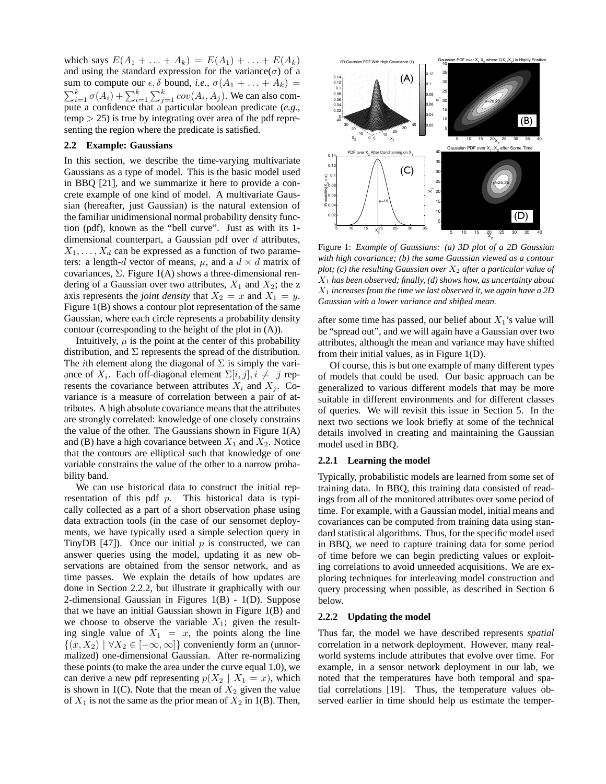which says  $E(A_1 + ... + A_k) = E(A_1) + ... + E(A_k)$ and using the standard expression for the variance( $\sigma$ ) of a sum to compute our  $\epsilon$ ,  $\delta$  bound, *i.e.*,  $\sigma(A_1 + \ldots + A_k)$  =  $\sum_{i=1}^{k} \sigma(A_i) + \sum_{i=1}^{k} \sum_{j=1}^{k} cov(A_i, A_j)$ . We can also compute a confidence that a particular boolean predicate (*e.g.*,  $temp$   $>$  25) is true by integrating over area of the pdf representing the region where the predicate is satisfied.

## **2.2 Example: Gaussians**

In this section, we describe the time-varying multivariate Gaussians as a type of model. This is the basic model used in BBQ [21], and we summarize it here to provide a concrete example of one kind of model. A multivariate Gaussian (hereafter, just Gaussian) is the natural extension of the familiar unidimensional normal probability density function (pdf), known as the "bell curve". Just as with its 1 dimensional counterpart, a Gaussian pdf over  $d$  attributes,  $X_1, \ldots, X_d$  can be expressed as a function of two parameters: a length-d vector of means,  $\mu$ , and a  $d \times d$  matrix of covariances, Σ. Figure 1(A) shows a three-dimensional rendering of a Gaussian over two attributes,  $X_1$  and  $X_2$ ; the z axis represents the *joint density* that  $X_2 = x$  and  $X_1 = y$ . Figure 1(B) shows a contour plot representation of the same Gaussian, where each circle represents a probability density contour (corresponding to the height of the plot in (A)).

Intuitively,  $\mu$  is the point at the center of this probability distribution, and  $\Sigma$  represents the spread of the distribution. The *i*th element along the diagonal of  $\Sigma$  is simply the variance of  $X_i$ . Each off-diagonal element  $\Sigma[i, j], i \neq j$  represents the covariance between attributes  $X_i$  and  $X_j$ . Covariance is a measure of correlation between a pair of attributes. A high absolute covariance means that the attributes are strongly correlated: knowledge of one closely constrains the value of the other. The Gaussians shown in Figure  $1(A)$ and (B) have a high covariance between  $X_1$  and  $X_2$ . Notice that the contours are elliptical such that knowledge of one variable constrains the value of the other to a narrow probability band.

We can use historical data to construct the initial representation of this pdf  $p$ . This historical data is typically collected as a part of a short observation phase using data extraction tools (in the case of our sensornet deployments, we have typically used a simple selection query in TinyDB  $[47]$ ). Once our initial p is constructed, we can answer queries using the model, updating it as new observations are obtained from the sensor network, and as time passes. We explain the details of how updates are done in Section 2.2.2, but illustrate it graphically with our 2-dimensional Gaussian in Figures 1(B) - 1(D). Suppose that we have an initial Gaussian shown in Figure 1(B) and we choose to observe the variable  $X_1$ ; given the resulting single value of  $X_1 = x$ , the points along the line  $\{(x, X_2) \mid \forall X_2 \in [-\infty, \infty]\}\$ conveniently form an (unnormalized) one-dimensional Gaussian. After re-normalizing these points (to make the area under the curve equal 1.0), we can derive a new pdf representing  $p(X_2 | X_1 = x)$ , which is shown in 1(C). Note that the mean of  $X_2$  given the value of  $X_1$  is not the same as the prior mean of  $X_2$  in 1(B). Then,



Figure 1: *Example of Gaussians: (a) 3D plot of a 2D Gaussian with high covariance; (b) the same Gaussian viewed as a contour plot; (c) the resulting Gaussian over*  $X_2$  *after a particular value of* X<sup>1</sup> *has been observed; finally, (d) shows how, as uncertainty about* X<sup>1</sup> *increases from the time we last observed it, we again have a 2D Gaussian with a lower variance and shifted mean.*

after some time has passed, our belief about  $X_1$ 's value will be "spread out", and we will again have a Gaussian over two attributes, although the mean and variance may have shifted from their initial values, as in Figure 1(D).

Of course, this is but one example of many different types of models that could be used. Our basic approach can be generalized to various different models that may be more suitable in different environments and for different classes of queries. We will revisit this issue in Section 5. In the next two sections we look briefly at some of the technical details involved in creating and maintaining the Gaussian model used in BBQ.

#### **2.2.1 Learning the model**

Typically, probabilistic models are learned from some set of training data. In BBQ, this training data consisted of readings from all of the monitored attributes over some period of time. For example, with a Gaussian model, initial means and covariances can be computed from training data using standard statistical algorithms. Thus, for the specific model used in BBQ, we need to capture training data for some period of time before we can begin predicting values or exploiting correlations to avoid unneeded acquisitions. We are exploring techniques for interleaving model construction and query processing when possible, as described in Section 6 below.

#### **2.2.2 Updating the model**

Thus far, the model we have described represents *spatial* correlation in a network deployment. However, many realworld systems include attributes that evolve over time. For example, in a sensor network deployment in our lab, we noted that the temperatures have both temporal and spatial correlations [19]. Thus, the temperature values observed earlier in time should help us estimate the temper-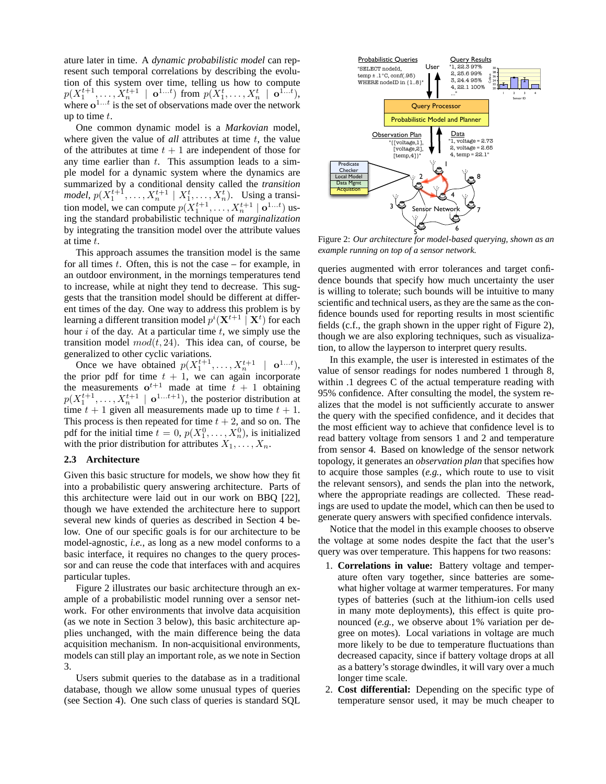ature later in time. A *dynamic probabilistic model* can represent such temporal correlations by describing the evolution of this system over time, telling us how to compute  $p(X_1^{t+1},...,X_n^{t+1} \mid \mathbf{o}^{1...t})$  from  $p(X_1^t,...,X_n^t \mid \mathbf{o}^{1...t}),$ where  $e^{1...t}$  is the set of observations made over the network up to time  $t$ .

One common dynamic model is a *Markovian* model, where given the value of  $all$  attributes at time  $t$ , the value of the attributes at time  $t + 1$  are independent of those for any time earlier than  $t$ . This assumption leads to a simple model for a dynamic system where the dynamics are summarized by a conditional density called the *transition model*,  $p(X_1^{t+1}, \ldots, X_n^{t+1} \mid X_1^t, \ldots, X_n^t)$ . Using a transition model, we can compute  $p(X_1^{t+1},...,X_n^{t+1} | \mathbf{o}^{1...t})$  using the standard probabilistic technique of *marginalization* by integrating the transition model over the attribute values at time t.

This approach assumes the transition model is the same for all times  $t$ . Often, this is not the case – for example, in an outdoor environment, in the mornings temperatures tend to increase, while at night they tend to decrease. This suggests that the transition model should be different at different times of the day. One way to address this problem is by learning a different transition model  $p^i(\mathbf{X}^{t+1} \mid \mathbf{X}^t)$  for each hour  $i$  of the day. At a particular time  $t$ , we simply use the transition model  $mod(t, 24)$ . This idea can, of course, be generalized to other cyclic variations.

Once we have obtained  $p(X_1^{t+1},...,X_n^{t+1} | \mathbf{o}^{1...t}),$ the prior pdf for time  $t + 1$ , we can again incorporate the measurements  $o^{t+1}$  made at time  $t + 1$  obtaining  $p(X_1^{t+1},...,X_n^{t+1} | \mathbf{o}^{1...t+1}),$  the posterior distribution at time  $t + 1$  given all measurements made up to time  $t + 1$ . This process is then repeated for time  $t + 2$ , and so on. The pdf for the initial time  $t = 0$ ,  $p(X_1^0, \ldots, X_n^0)$ , is initialized with the prior distribution for attributes  $X_1, \ldots, X_n$ .

#### **2.3 Architecture**

Given this basic structure for models, we show how they fit into a probabilistic query answering architecture. Parts of this architecture were laid out in our work on BBQ [22], though we have extended the architecture here to support several new kinds of queries as described in Section 4 below. One of our specific goals is for our architecture to be model-agnostic, *i.e.*, as long as a new model conforms to a basic interface, it requires no changes to the query processor and can reuse the code that interfaces with and acquires particular tuples.

Figure 2 illustrates our basic architecture through an example of a probabilistic model running over a sensor network. For other environments that involve data acquisition (as we note in Section 3 below), this basic architecture applies unchanged, with the main difference being the data acquisition mechanism. In non-acquisitional environments, models can still play an important role, as we note in Section 3.

Users submit queries to the database as in a traditional database, though we allow some unusual types of queries (see Section 4). One such class of queries is standard SQL



Figure 2: *Our architecture for model-based querying, shown as an example running on top of a sensor network.*

queries augmented with error tolerances and target confidence bounds that specify how much uncertainty the user is willing to tolerate; such bounds will be intuitive to many scientific and technical users, as they are the same as the confidence bounds used for reporting results in most scientific fields (c.f., the graph shown in the upper right of Figure 2), though we are also exploring techniques, such as visualization, to allow the layperson to interpret query results.

In this example, the user is interested in estimates of the value of sensor readings for nodes numbered 1 through 8, within .1 degrees C of the actual temperature reading with 95% confidence. After consulting the model, the system realizes that the model is not sufficiently accurate to answer the query with the specified confidence, and it decides that the most efficient way to achieve that confidence level is to read battery voltage from sensors 1 and 2 and temperature from sensor 4. Based on knowledge of the sensor network topology, it generates an *observation plan* that specifies how to acquire those samples (*e.g.*, which route to use to visit the relevant sensors), and sends the plan into the network, where the appropriate readings are collected. These readings are used to update the model, which can then be used to generate query answers with specified confidence intervals.

Notice that the model in this example chooses to observe the voltage at some nodes despite the fact that the user's query was over temperature. This happens for two reasons:

- 1. **Correlations in value:** Battery voltage and temperature often vary together, since batteries are somewhat higher voltage at warmer temperatures. For many types of batteries (such at the lithium-ion cells used in many mote deployments), this effect is quite pronounced (*e.g.*, we observe about 1% variation per degree on motes). Local variations in voltage are much more likely to be due to temperature fluctuations than decreased capacity, since if battery voltage drops at all as a battery's storage dwindles, it will vary over a much longer time scale.
- 2. **Cost differential:** Depending on the specific type of temperature sensor used, it may be much cheaper to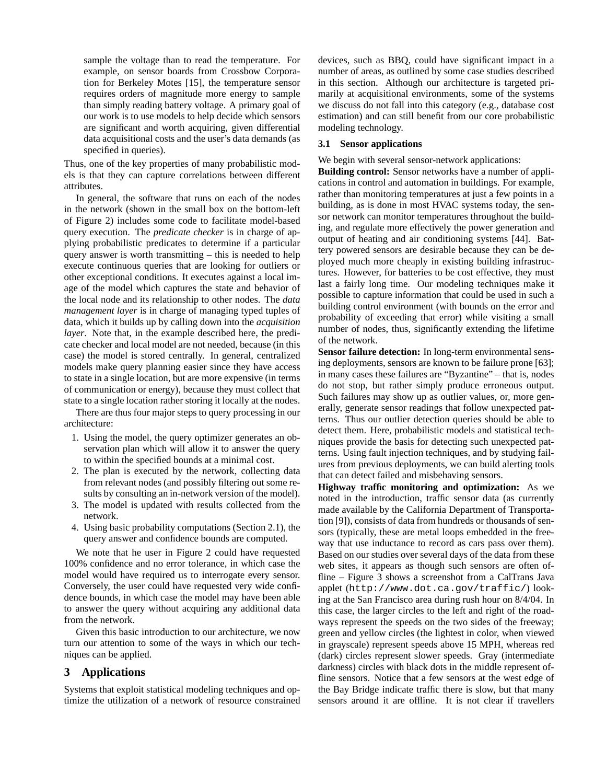sample the voltage than to read the temperature. For example, on sensor boards from Crossbow Corporation for Berkeley Motes [15], the temperature sensor requires orders of magnitude more energy to sample than simply reading battery voltage. A primary goal of our work is to use models to help decide which sensors are significant and worth acquiring, given differential data acquisitional costs and the user's data demands (as specified in queries).

Thus, one of the key properties of many probabilistic models is that they can capture correlations between different attributes.

In general, the software that runs on each of the nodes in the network (shown in the small box on the bottom-left of Figure 2) includes some code to facilitate model-based query execution. The *predicate checker* is in charge of applying probabilistic predicates to determine if a particular query answer is worth transmitting – this is needed to help execute continuous queries that are looking for outliers or other exceptional conditions. It executes against a local image of the model which captures the state and behavior of the local node and its relationship to other nodes. The *data management layer* is in charge of managing typed tuples of data, which it builds up by calling down into the *acquisition layer*. Note that, in the example described here, the predicate checker and local model are not needed, because (in this case) the model is stored centrally. In general, centralized models make query planning easier since they have access to state in a single location, but are more expensive (in terms of communication or energy), because they must collect that state to a single location rather storing it locally at the nodes.

There are thus four major steps to query processing in our architecture:

- 1. Using the model, the query optimizer generates an observation plan which will allow it to answer the query to within the specified bounds at a minimal cost.
- 2. The plan is executed by the network, collecting data from relevant nodes (and possibly filtering out some results by consulting an in-network version of the model).
- 3. The model is updated with results collected from the network.
- 4. Using basic probability computations (Section 2.1), the query answer and confidence bounds are computed.

We note that he user in Figure 2 could have requested 100% confidence and no error tolerance, in which case the model would have required us to interrogate every sensor. Conversely, the user could have requested very wide confidence bounds, in which case the model may have been able to answer the query without acquiring any additional data from the network.

Given this basic introduction to our architecture, we now turn our attention to some of the ways in which our techniques can be applied.

# **3 Applications**

Systems that exploit statistical modeling techniques and optimize the utilization of a network of resource constrained

devices, such as BBQ, could have significant impact in a number of areas, as outlined by some case studies described in this section. Although our architecture is targeted primarily at acquisitional environments, some of the systems we discuss do not fall into this category (e.g., database cost estimation) and can still benefit from our core probabilistic modeling technology.

### **3.1 Sensor applications**

We begin with several sensor-network applications:

**Building control:** Sensor networks have a number of applications in control and automation in buildings. For example, rather than monitoring temperatures at just a few points in a building, as is done in most HVAC systems today, the sensor network can monitor temperatures throughout the building, and regulate more effectively the power generation and output of heating and air conditioning systems [44]. Battery powered sensors are desirable because they can be deployed much more cheaply in existing building infrastructures. However, for batteries to be cost effective, they must last a fairly long time. Our modeling techniques make it possible to capture information that could be used in such a building control environment (with bounds on the error and probability of exceeding that error) while visiting a small number of nodes, thus, significantly extending the lifetime of the network.

**Sensor failure detection:** In long-term environmental sensing deployments, sensors are known to be failure prone [63]; in many cases these failures are "Byzantine" – that is, nodes do not stop, but rather simply produce erroneous output. Such failures may show up as outlier values, or, more generally, generate sensor readings that follow unexpected patterns. Thus our outlier detection queries should be able to detect them. Here, probabilistic models and statistical techniques provide the basis for detecting such unexpected patterns. Using fault injection techniques, and by studying failures from previous deployments, we can build alerting tools that can detect failed and misbehaving sensors.

**Highway traffic monitoring and optimization:** As we noted in the introduction, traffic sensor data (as currently made available by the California Department of Transportation [9]), consists of data from hundreds or thousands of sensors (typically, these are metal loops embedded in the freeway that use inductance to record as cars pass over them). Based on our studies over several days of the data from these web sites, it appears as though such sensors are often offline – Figure 3 shows a screenshot from a CalTrans Java applet (http://www.dot.ca.gov/traffic/) looking at the San Francisco area during rush hour on 8/4/04. In this case, the larger circles to the left and right of the roadways represent the speeds on the two sides of the freeway; green and yellow circles (the lightest in color, when viewed in grayscale) represent speeds above 15 MPH, whereas red (dark) circles represent slower speeds. Gray (intermediate darkness) circles with black dots in the middle represent offline sensors. Notice that a few sensors at the west edge of the Bay Bridge indicate traffic there is slow, but that many sensors around it are offline. It is not clear if travellers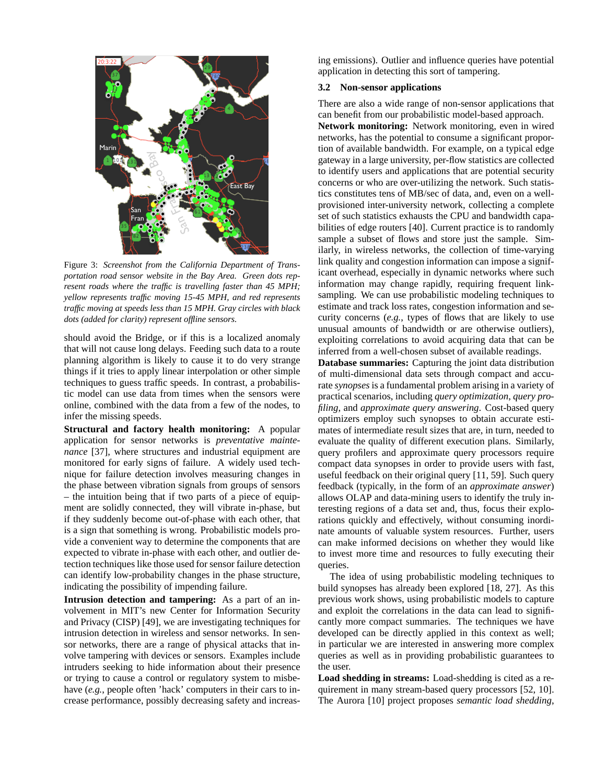

Figure 3: *Screenshot from the California Department of Transportation road sensor website in the Bay Area. Green dots represent roads where the traffic is travelling faster than 45 MPH; yellow represents traffic moving 15-45 MPH, and red represents traffic moving at speeds less than 15 MPH. Gray circles with black dots (added for clarity) represent offline sensors.*

should avoid the Bridge, or if this is a localized anomaly that will not cause long delays. Feeding such data to a route planning algorithm is likely to cause it to do very strange things if it tries to apply linear interpolation or other simple techniques to guess traffic speeds. In contrast, a probabilistic model can use data from times when the sensors were online, combined with the data from a few of the nodes, to infer the missing speeds.

**Structural and factory health monitoring:** A popular application for sensor networks is *preventative maintenance* [37], where structures and industrial equipment are monitored for early signs of failure. A widely used technique for failure detection involves measuring changes in the phase between vibration signals from groups of sensors – the intuition being that if two parts of a piece of equipment are solidly connected, they will vibrate in-phase, but if they suddenly become out-of-phase with each other, that is a sign that something is wrong. Probabilistic models provide a convenient way to determine the components that are expected to vibrate in-phase with each other, and outlier detection techniques like those used for sensor failure detection can identify low-probability changes in the phase structure, indicating the possibility of impending failure.

**Intrusion detection and tampering:** As a part of an involvement in MIT's new Center for Information Security and Privacy (CISP) [49], we are investigating techniques for intrusion detection in wireless and sensor networks. In sensor networks, there are a range of physical attacks that involve tampering with devices or sensors. Examples include intruders seeking to hide information about their presence or trying to cause a control or regulatory system to misbehave (*e.g.*, people often 'hack' computers in their cars to increase performance, possibly decreasing safety and increas-

ing emissions). Outlier and influence queries have potential application in detecting this sort of tampering.

## **3.2 Non-sensor applications**

There are also a wide range of non-sensor applications that can benefit from our probabilistic model-based approach.

**Network monitoring:** Network monitoring, even in wired networks, has the potential to consume a significant proportion of available bandwidth. For example, on a typical edge gateway in a large university, per-flow statistics are collected to identify users and applications that are potential security concerns or who are over-utilizing the network. Such statistics constitutes tens of MB/sec of data, and, even on a wellprovisioned inter-university network, collecting a complete set of such statistics exhausts the CPU and bandwidth capabilities of edge routers [40]. Current practice is to randomly sample a subset of flows and store just the sample. Similarly, in wireless networks, the collection of time-varying link quality and congestion information can impose a significant overhead, especially in dynamic networks where such information may change rapidly, requiring frequent linksampling. We can use probabilistic modeling techniques to estimate and track loss rates, congestion information and security concerns (*e.g.*, types of flows that are likely to use unusual amounts of bandwidth or are otherwise outliers), exploiting correlations to avoid acquiring data that can be inferred from a well-chosen subset of available readings.

**Database summaries:** Capturing the joint data distribution of multi-dimensional data sets through compact and accurate *synopses*is a fundamental problem arising in a variety of practical scenarios, including *query optimization*, *query profiling*, and *approximate query answering*. Cost-based query optimizers employ such synopses to obtain accurate estimates of intermediate result sizes that are, in turn, needed to evaluate the quality of different execution plans. Similarly, query profilers and approximate query processors require compact data synopses in order to provide users with fast, useful feedback on their original query [11, 59]. Such query feedback (typically, in the form of an *approximate answer*) allows OLAP and data-mining users to identify the truly interesting regions of a data set and, thus, focus their explorations quickly and effectively, without consuming inordinate amounts of valuable system resources. Further, users can make informed decisions on whether they would like to invest more time and resources to fully executing their queries.

The idea of using probabilistic modeling techniques to build synopses has already been explored [18, 27]. As this previous work shows, using probabilistic models to capture and exploit the correlations in the data can lead to significantly more compact summaries. The techniques we have developed can be directly applied in this context as well; in particular we are interested in answering more complex queries as well as in providing probabilistic guarantees to the user.

**Load shedding in streams:** Load-shedding is cited as a requirement in many stream-based query processors [52, 10]. The Aurora [10] project proposes *semantic load shedding*,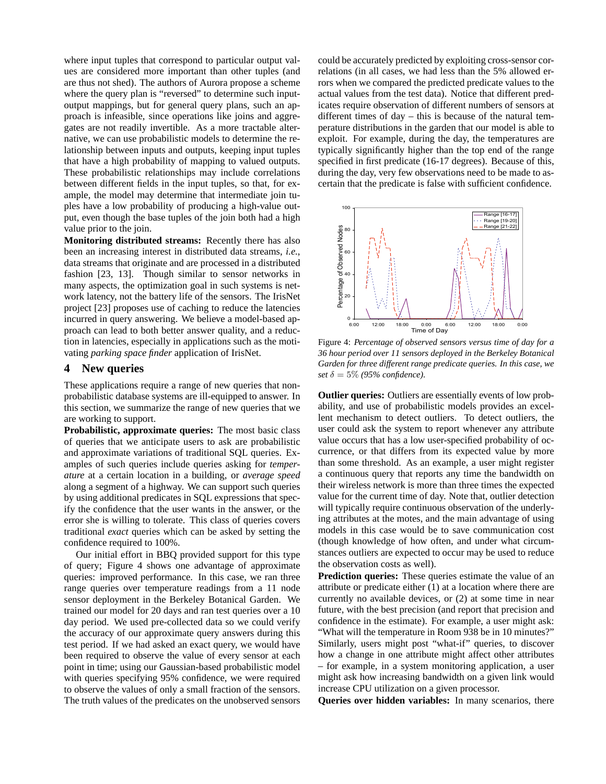where input tuples that correspond to particular output values are considered more important than other tuples (and are thus not shed). The authors of Aurora propose a scheme where the query plan is "reversed" to determine such inputoutput mappings, but for general query plans, such an approach is infeasible, since operations like joins and aggregates are not readily invertible. As a more tractable alternative, we can use probabilistic models to determine the relationship between inputs and outputs, keeping input tuples that have a high probability of mapping to valued outputs. These probabilistic relationships may include correlations between different fields in the input tuples, so that, for example, the model may determine that intermediate join tuples have a low probability of producing a high-value output, even though the base tuples of the join both had a high value prior to the join.

**Monitoring distributed streams:** Recently there has also been an increasing interest in distributed data streams, *i.e.*, data streams that originate and are processed in a distributed fashion [23, 13]. Though similar to sensor networks in many aspects, the optimization goal in such systems is network latency, not the battery life of the sensors. The IrisNet project [23] proposes use of caching to reduce the latencies incurred in query answering. We believe a model-based approach can lead to both better answer quality, and a reduction in latencies, especially in applications such as the motivating *parking space finder* application of IrisNet.

## **4 New queries**

These applications require a range of new queries that nonprobabilistic database systems are ill-equipped to answer. In this section, we summarize the range of new queries that we are working to support.

**Probabilistic, approximate queries:** The most basic class of queries that we anticipate users to ask are probabilistic and approximate variations of traditional SQL queries. Examples of such queries include queries asking for *temperature* at a certain location in a building, or *average speed* along a segment of a highway. We can support such queries by using additional predicates in SQL expressions that specify the confidence that the user wants in the answer, or the error she is willing to tolerate. This class of queries covers traditional *exact* queries which can be asked by setting the confidence required to 100%.

Our initial effort in BBQ provided support for this type of query; Figure 4 shows one advantage of approximate queries: improved performance. In this case, we ran three range queries over temperature readings from a 11 node sensor deployment in the Berkeley Botanical Garden. We trained our model for 20 days and ran test queries over a 10 day period. We used pre-collected data so we could verify the accuracy of our approximate query answers during this test period. If we had asked an exact query, we would have been required to observe the value of every sensor at each point in time; using our Gaussian-based probabilistic model with queries specifying 95% confidence, we were required to observe the values of only a small fraction of the sensors. The truth values of the predicates on the unobserved sensors

could be accurately predicted by exploiting cross-sensor correlations (in all cases, we had less than the 5% allowed errors when we compared the predicted predicate values to the actual values from the test data). Notice that different predicates require observation of different numbers of sensors at different times of day – this is because of the natural temperature distributions in the garden that our model is able to exploit. For example, during the day, the temperatures are typically significantly higher than the top end of the range specified in first predicate (16-17 degrees). Because of this, during the day, very few observations need to be made to ascertain that the predicate is false with sufficient confidence.



Figure 4: *Percentage of observed sensors versus time of day for a 36 hour period over 11 sensors deployed in the Berkeley Botanical Garden for three different range predicate queries. In this case, we set*  $\delta = 5\%$  (95% confidence).

**Outlier queries:** Outliers are essentially events of low probability, and use of probabilistic models provides an excellent mechanism to detect outliers. To detect outliers, the user could ask the system to report whenever any attribute value occurs that has a low user-specified probability of occurrence, or that differs from its expected value by more than some threshold. As an example, a user might register a continuous query that reports any time the bandwidth on their wireless network is more than three times the expected value for the current time of day. Note that, outlier detection will typically require continuous observation of the underlying attributes at the motes, and the main advantage of using models in this case would be to save communication cost (though knowledge of how often, and under what circumstances outliers are expected to occur may be used to reduce the observation costs as well).

**Prediction queries:** These queries estimate the value of an attribute or predicate either (1) at a location where there are currently no available devices, or (2) at some time in near future, with the best precision (and report that precision and confidence in the estimate). For example, a user might ask: "What will the temperature in Room 938 be in 10 minutes?" Similarly, users might post "what-if" queries, to discover how a change in one attribute might affect other attributes – for example, in a system monitoring application, a user might ask how increasing bandwidth on a given link would increase CPU utilization on a given processor.

**Queries over hidden variables:** In many scenarios, there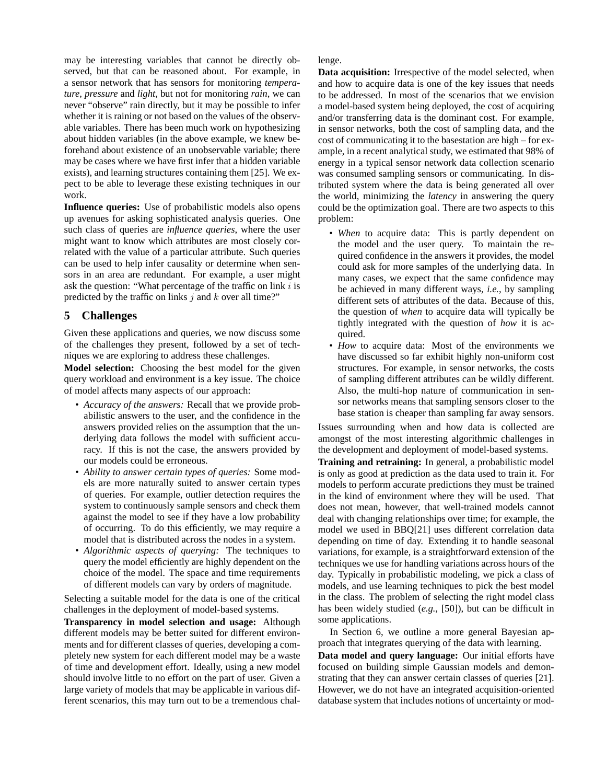may be interesting variables that cannot be directly observed, but that can be reasoned about. For example, in a sensor network that has sensors for monitoring *temperature*, *pressure* and *light*, but not for monitoring *rain*, we can never "observe" rain directly, but it may be possible to infer whether it is raining or not based on the values of the observable variables. There has been much work on hypothesizing about hidden variables (in the above example, we knew beforehand about existence of an unobservable variable; there may be cases where we have first infer that a hidden variable exists), and learning structures containing them [25]. We expect to be able to leverage these existing techniques in our work.

**Influence queries:** Use of probabilistic models also opens up avenues for asking sophisticated analysis queries. One such class of queries are *influence queries*, where the user might want to know which attributes are most closely correlated with the value of a particular attribute. Such queries can be used to help infer causality or determine when sensors in an area are redundant. For example, a user might ask the question: "What percentage of the traffic on link  $i$  is predicted by the traffic on links  $j$  and  $k$  over all time?"

# **5 Challenges**

Given these applications and queries, we now discuss some of the challenges they present, followed by a set of techniques we are exploring to address these challenges.

**Model selection:** Choosing the best model for the given query workload and environment is a key issue. The choice of model affects many aspects of our approach:

- *Accuracy of the answers:* Recall that we provide probabilistic answers to the user, and the confidence in the answers provided relies on the assumption that the underlying data follows the model with sufficient accuracy. If this is not the case, the answers provided by our models could be erroneous.
- *Ability to answer certain types of queries:* Some models are more naturally suited to answer certain types of queries. For example, outlier detection requires the system to continuously sample sensors and check them against the model to see if they have a low probability of occurring. To do this efficiently, we may require a model that is distributed across the nodes in a system.
- *Algorithmic aspects of querying:* The techniques to query the model efficiently are highly dependent on the choice of the model. The space and time requirements of different models can vary by orders of magnitude.

Selecting a suitable model for the data is one of the critical challenges in the deployment of model-based systems.

**Transparency in model selection and usage:** Although different models may be better suited for different environments and for different classes of queries, developing a completely new system for each different model may be a waste of time and development effort. Ideally, using a new model should involve little to no effort on the part of user. Given a large variety of models that may be applicable in various different scenarios, this may turn out to be a tremendous challenge.

**Data acquisition:** Irrespective of the model selected, when and how to acquire data is one of the key issues that needs to be addressed. In most of the scenarios that we envision a model-based system being deployed, the cost of acquiring and/or transferring data is the dominant cost. For example, in sensor networks, both the cost of sampling data, and the cost of communicating it to the basestation are high – for example, in a recent analytical study, we estimated that 98% of energy in a typical sensor network data collection scenario was consumed sampling sensors or communicating. In distributed system where the data is being generated all over the world, minimizing the *latency* in answering the query could be the optimization goal. There are two aspects to this problem:

- *When* to acquire data: This is partly dependent on the model and the user query. To maintain the required confidence in the answers it provides, the model could ask for more samples of the underlying data. In many cases, we expect that the same confidence may be achieved in many different ways, *i.e.*, by sampling different sets of attributes of the data. Because of this, the question of *when* to acquire data will typically be tightly integrated with the question of *how* it is acquired.
- *How* to acquire data: Most of the environments we have discussed so far exhibit highly non-uniform cost structures. For example, in sensor networks, the costs of sampling different attributes can be wildly different. Also, the multi-hop nature of communication in sensor networks means that sampling sensors closer to the base station is cheaper than sampling far away sensors.

Issues surrounding when and how data is collected are amongst of the most interesting algorithmic challenges in the development and deployment of model-based systems.

**Training and retraining:** In general, a probabilistic model is only as good at prediction as the data used to train it. For models to perform accurate predictions they must be trained in the kind of environment where they will be used. That does not mean, however, that well-trained models cannot deal with changing relationships over time; for example, the model we used in BBQ[21] uses different correlation data depending on time of day. Extending it to handle seasonal variations, for example, is a straightforward extension of the techniques we use for handling variations across hours of the day. Typically in probabilistic modeling, we pick a class of models, and use learning techniques to pick the best model in the class. The problem of selecting the right model class has been widely studied (*e.g.*, [50]), but can be difficult in some applications.

In Section 6, we outline a more general Bayesian approach that integrates querying of the data with learning. **Data model and query language:** Our initial efforts have focused on building simple Gaussian models and demonstrating that they can answer certain classes of queries [21]. However, we do not have an integrated acquisition-oriented database system that includes notions of uncertainty or mod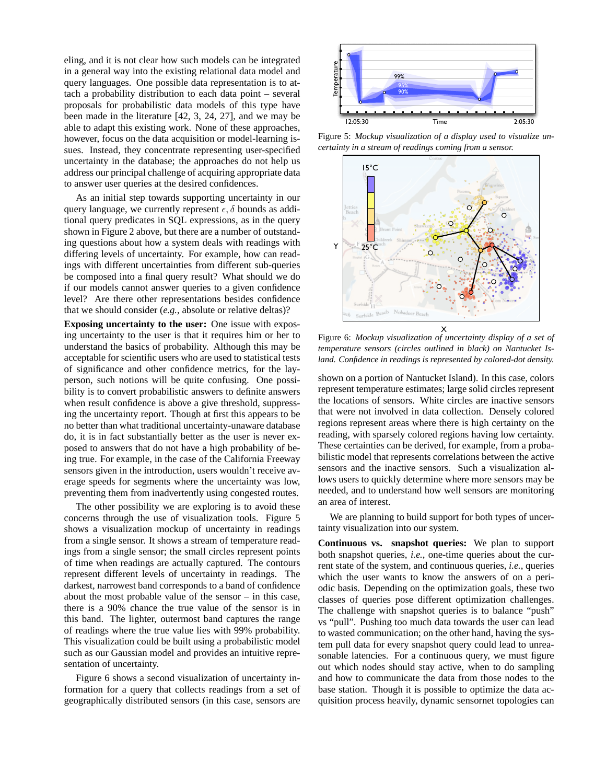eling, and it is not clear how such models can be integrated in a general way into the existing relational data model and query languages. One possible data representation is to attach a probability distribution to each data point – several proposals for probabilistic data models of this type have been made in the literature [42, 3, 24, 27], and we may be able to adapt this existing work. None of these approaches, however, focus on the data acquisition or model-learning issues. Instead, they concentrate representing user-specified uncertainty in the database; the approaches do not help us address our principal challenge of acquiring appropriate data to answer user queries at the desired confidences.

As an initial step towards supporting uncertainty in our query language, we currently represent  $\epsilon$ ,  $\delta$  bounds as additional query predicates in SQL expressions, as in the query shown in Figure 2 above, but there are a number of outstanding questions about how a system deals with readings with differing levels of uncertainty. For example, how can readings with different uncertainties from different sub-queries be composed into a final query result? What should we do if our models cannot answer queries to a given confidence level? Are there other representations besides confidence that we should consider (*e.g.*, absolute or relative deltas)?

**Exposing uncertainty to the user:** One issue with exposing uncertainty to the user is that it requires him or her to understand the basics of probability. Although this may be acceptable for scientific users who are used to statistical tests of significance and other confidence metrics, for the layperson, such notions will be quite confusing. One possibility is to convert probabilistic answers to definite answers when result confidence is above a give threshold, suppressing the uncertainty report. Though at first this appears to be no better than what traditional uncertainty-unaware database do, it is in fact substantially better as the user is never exposed to answers that do not have a high probability of being true. For example, in the case of the California Freeway sensors given in the introduction, users wouldn't receive average speeds for segments where the uncertainty was low, preventing them from inadvertently using congested routes.

The other possibility we are exploring is to avoid these concerns through the use of visualization tools. Figure 5 shows a visualization mockup of uncertainty in readings from a single sensor. It shows a stream of temperature readings from a single sensor; the small circles represent points of time when readings are actually captured. The contours represent different levels of uncertainty in readings. The darkest, narrowest band corresponds to a band of confidence about the most probable value of the sensor – in this case, there is a 90% chance the true value of the sensor is in this band. The lighter, outermost band captures the range of readings where the true value lies with 99% probability. This visualization could be built using a probabilistic model such as our Gaussian model and provides an intuitive representation of uncertainty.

Figure 6 shows a second visualization of uncertainty information for a query that collects readings from a set of geographically distributed sensors (in this case, sensors are



Figure 5: *Mockup visualization of a display used to visualize uncertainty in a stream of readings coming from a sensor.*



Figure 6: *Mockup visualization of uncertainty display of a set of temperature sensors (circles outlined in black) on Nantucket Island. Confidence in readings is represented by colored-dot density.*

shown on a portion of Nantucket Island). In this case, colors represent temperature estimates; large solid circles represent the locations of sensors. White circles are inactive sensors that were not involved in data collection. Densely colored regions represent areas where there is high certainty on the reading, with sparsely colored regions having low certainty. These certainties can be derived, for example, from a probabilistic model that represents correlations between the active sensors and the inactive sensors. Such a visualization allows users to quickly determine where more sensors may be needed, and to understand how well sensors are monitoring an area of interest.

We are planning to build support for both types of uncertainty visualization into our system.

**Continuous vs. snapshot queries:** We plan to support both snapshot queries, *i.e.*, one-time queries about the current state of the system, and continuous queries, *i.e.*, queries which the user wants to know the answers of on a periodic basis. Depending on the optimization goals, these two classes of queries pose different optimization challenges. The challenge with snapshot queries is to balance "push" vs "pull". Pushing too much data towards the user can lead to wasted communication; on the other hand, having the system pull data for every snapshot query could lead to unreasonable latencies. For a continuous query, we must figure out which nodes should stay active, when to do sampling and how to communicate the data from those nodes to the base station. Though it is possible to optimize the data acquisition process heavily, dynamic sensornet topologies can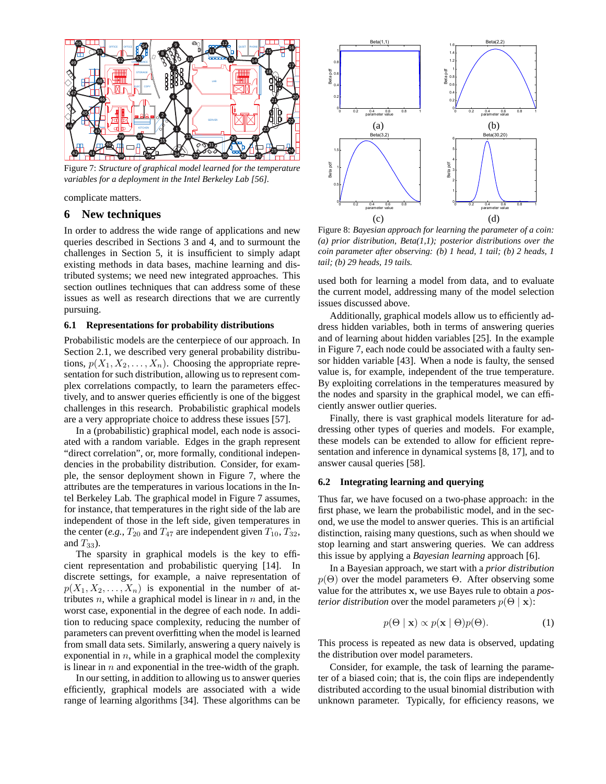

Figure 7: *Structure of graphical model learned for the temperature variables for a deployment in the Intel Berkeley Lab [56].*

complicate matters.

## **6 New techniques**

In order to address the wide range of applications and new queries described in Sections 3 and 4, and to surmount the challenges in Section 5, it is insufficient to simply adapt existing methods in data bases, machine learning and distributed systems; we need new integrated approaches. This section outlines techniques that can address some of these issues as well as research directions that we are currently pursuing.

#### **6.1 Representations for probability distributions**

Probabilistic models are the centerpiece of our approach. In Section 2.1, we described very general probability distributions,  $p(X_1, X_2, \ldots, X_n)$ . Choosing the appropriate representation for such distribution, allowing us to represent complex correlations compactly, to learn the parameters effectively, and to answer queries efficiently is one of the biggest challenges in this research. Probabilistic graphical models are a very appropriate choice to address these issues [57].

In a (probabilistic) graphical model, each node is associated with a random variable. Edges in the graph represent "direct correlation", or, more formally, conditional independencies in the probability distribution. Consider, for example, the sensor deployment shown in Figure 7, where the attributes are the temperatures in various locations in the Intel Berkeley Lab. The graphical model in Figure 7 assumes, for instance, that temperatures in the right side of the lab are independent of those in the left side, given temperatures in the center (*e.g.*,  $T_{20}$  and  $T_{47}$  are independent given  $T_{10}$ ,  $T_{32}$ , and  $T_{33}$ ).

The sparsity in graphical models is the key to efficient representation and probabilistic querying [14]. In discrete settings, for example, a naive representation of  $p(X_1, X_2, \ldots, X_n)$  is exponential in the number of attributes  $n$ , while a graphical model is linear in  $n$  and, in the worst case, exponential in the degree of each node. In addition to reducing space complexity, reducing the number of parameters can prevent overfitting when the model is learned from small data sets. Similarly, answering a query naively is exponential in  $n$ , while in a graphical model the complexity is linear in  $n$  and exponential in the tree-width of the graph.

In our setting, in addition to allowing us to answer queries efficiently, graphical models are associated with a wide range of learning algorithms [34]. These algorithms can be



Figure 8: *Bayesian approach for learning the parameter of a coin: (a) prior distribution, Beta(1,1); posterior distributions over the coin parameter after observing: (b) 1 head, 1 tail; (b) 2 heads, 1 tail; (b) 29 heads, 19 tails.*

used both for learning a model from data, and to evaluate the current model, addressing many of the model selection issues discussed above.

Additionally, graphical models allow us to efficiently address hidden variables, both in terms of answering queries and of learning about hidden variables [25]. In the example in Figure 7, each node could be associated with a faulty sensor hidden variable [43]. When a node is faulty, the sensed value is, for example, independent of the true temperature. By exploiting correlations in the temperatures measured by the nodes and sparsity in the graphical model, we can efficiently answer outlier queries.

Finally, there is vast graphical models literature for addressing other types of queries and models. For example, these models can be extended to allow for efficient representation and inference in dynamical systems [8, 17], and to answer causal queries [58].

#### **6.2 Integrating learning and querying**

Thus far, we have focused on a two-phase approach: in the first phase, we learn the probabilistic model, and in the second, we use the model to answer queries. This is an artificial distinction, raising many questions, such as when should we stop learning and start answering queries. We can address this issue by applying a *Bayesian learning* approach [6].

In a Bayesian approach, we start with a *prior distribution*  $p(\Theta)$  over the model parameters  $\Theta$ . After observing some value for the attributes x, we use Bayes rule to obtain a *posterior distribution* over the model parameters  $p(\Theta | \mathbf{x})$ :

$$
p(\Theta \mid \mathbf{x}) \propto p(\mathbf{x} \mid \Theta)p(\Theta). \tag{1}
$$

This process is repeated as new data is observed, updating the distribution over model parameters.

Consider, for example, the task of learning the parameter of a biased coin; that is, the coin flips are independently distributed according to the usual binomial distribution with unknown parameter. Typically, for efficiency reasons, we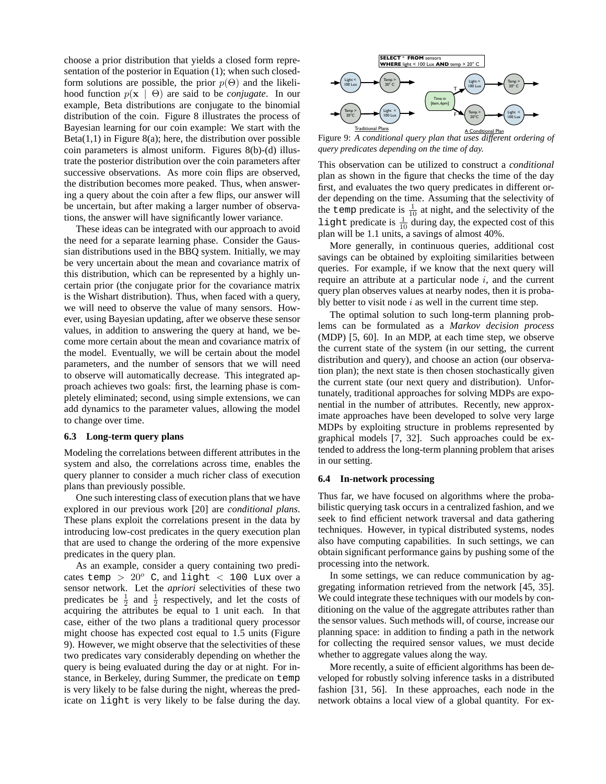choose a prior distribution that yields a closed form representation of the posterior in Equation (1); when such closedform solutions are possible, the prior  $p(\Theta)$  and the likelihood function p(x | Θ) are said to be *conjugate*. In our example, Beta distributions are conjugate to the binomial distribution of the coin. Figure 8 illustrates the process of Bayesian learning for our coin example: We start with the  $Beta(1,1)$  in Figure 8(a); here, the distribution over possible coin parameters is almost uniform. Figures 8(b)-(d) illustrate the posterior distribution over the coin parameters after successive observations. As more coin flips are observed, the distribution becomes more peaked. Thus, when answering a query about the coin after a few flips, our answer will be uncertain, but after making a larger number of observations, the answer will have significantly lower variance.

These ideas can be integrated with our approach to avoid the need for a separate learning phase. Consider the Gaussian distributions used in the BBQ system. Initially, we may be very uncertain about the mean and covariance matrix of this distribution, which can be represented by a highly uncertain prior (the conjugate prior for the covariance matrix is the Wishart distribution). Thus, when faced with a query, we will need to observe the value of many sensors. However, using Bayesian updating, after we observe these sensor values, in addition to answering the query at hand, we become more certain about the mean and covariance matrix of the model. Eventually, we will be certain about the model parameters, and the number of sensors that we will need to observe will automatically decrease. This integrated approach achieves two goals: first, the learning phase is completely eliminated; second, using simple extensions, we can add dynamics to the parameter values, allowing the model to change over time.

#### **6.3 Long-term query plans**

Modeling the correlations between different attributes in the system and also, the correlations across time, enables the query planner to consider a much richer class of execution plans than previously possible.

One such interesting class of execution plans that we have explored in our previous work [20] are *conditional plans*. These plans exploit the correlations present in the data by introducing low-cost predicates in the query execution plan that are used to change the ordering of the more expensive predicates in the query plan.

As an example, consider a query containing two predicates temp  $> 20^{\circ}$  C, and light  $< 100$  Lux over a sensor network. Let the *apriori* selectivities of these two predicates be  $\frac{1}{2}$  and  $\frac{1}{2}$  respectively, and let the costs of acquiring the attributes be equal to 1 unit each. In that case, either of the two plans a traditional query processor might choose has expected cost equal to 1.5 units (Figure 9). However, we might observe that the selectivities of these two predicates vary considerably depending on whether the query is being evaluated during the day or at night. For instance, in Berkeley, during Summer, the predicate on temp is very likely to be false during the night, whereas the predicate on light is very likely to be false during the day.



Figure 9: *A conditional query plan that uses different ordering of query predicates depending on the time of day.*

This observation can be utilized to construct a *conditional* plan as shown in the figure that checks the time of the day first, and evaluates the two query predicates in different order depending on the time. Assuming that the selectivity of the temp predicate is  $\frac{1}{10}$  at night, and the selectivity of the light predicate is  $\frac{1}{10}$  during day, the expected cost of this plan will be 1.1 units, a savings of almost 40%.

More generally, in continuous queries, additional cost savings can be obtained by exploiting similarities between queries. For example, if we know that the next query will require an attribute at a particular node  $i$ , and the current query plan observes values at nearby nodes, then it is probably better to visit node  $i$  as well in the current time step.

The optimal solution to such long-term planning problems can be formulated as a *Markov decision process* (MDP) [5, 60]. In an MDP, at each time step, we observe the current state of the system (in our setting, the current distribution and query), and choose an action (our observation plan); the next state is then chosen stochastically given the current state (our next query and distribution). Unfortunately, traditional approaches for solving MDPs are exponential in the number of attributes. Recently, new approximate approaches have been developed to solve very large MDPs by exploiting structure in problems represented by graphical models [7, 32]. Such approaches could be extended to address the long-term planning problem that arises in our setting.

#### **6.4 In-network processing**

Thus far, we have focused on algorithms where the probabilistic querying task occurs in a centralized fashion, and we seek to find efficient network traversal and data gathering techniques. However, in typical distributed systems, nodes also have computing capabilities. In such settings, we can obtain significant performance gains by pushing some of the processing into the network.

In some settings, we can reduce communication by aggregating information retrieved from the network [45, 35]. We could integrate these techniques with our models by conditioning on the value of the aggregate attributes rather than the sensor values. Such methods will, of course, increase our planning space: in addition to finding a path in the network for collecting the required sensor values, we must decide whether to aggregate values along the way.

More recently, a suite of efficient algorithms has been developed for robustly solving inference tasks in a distributed fashion [31, 56]. In these approaches, each node in the network obtains a local view of a global quantity. For ex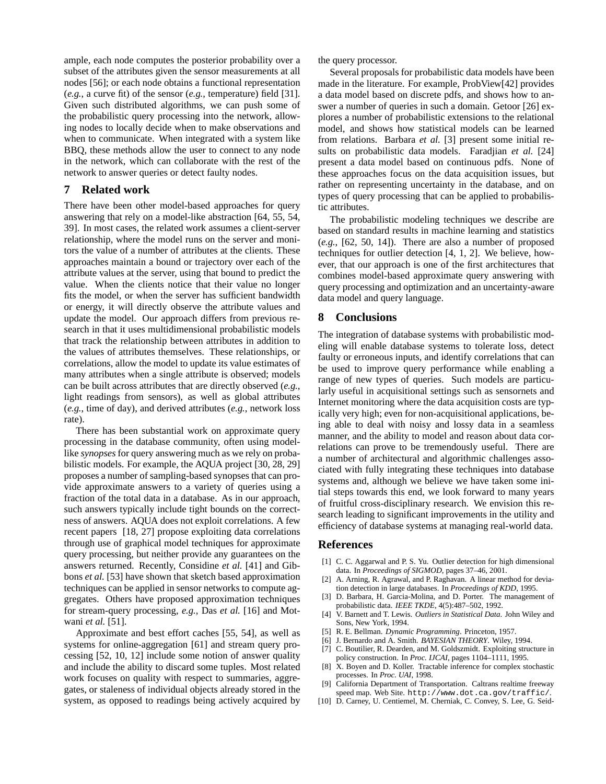ample, each node computes the posterior probability over a subset of the attributes given the sensor measurements at all nodes [56]; or each node obtains a functional representation (*e.g.*, a curve fit) of the sensor (*e.g.*, temperature) field [31]. Given such distributed algorithms, we can push some of the probabilistic query processing into the network, allowing nodes to locally decide when to make observations and when to communicate. When integrated with a system like BBQ, these methods allow the user to connect to any node in the network, which can collaborate with the rest of the network to answer queries or detect faulty nodes.

## **7 Related work**

There have been other model-based approaches for query answering that rely on a model-like abstraction [64, 55, 54, 39]. In most cases, the related work assumes a client-server relationship, where the model runs on the server and monitors the value of a number of attributes at the clients. These approaches maintain a bound or trajectory over each of the attribute values at the server, using that bound to predict the value. When the clients notice that their value no longer fits the model, or when the server has sufficient bandwidth or energy, it will directly observe the attribute values and update the model. Our approach differs from previous research in that it uses multidimensional probabilistic models that track the relationship between attributes in addition to the values of attributes themselves. These relationships, or correlations, allow the model to update its value estimates of many attributes when a single attribute is observed; models can be built across attributes that are directly observed (*e.g.*, light readings from sensors), as well as global attributes (*e.g.*, time of day), and derived attributes (*e.g.*, network loss rate).

There has been substantial work on approximate query processing in the database community, often using modellike *synopses* for query answering much as we rely on probabilistic models. For example, the AQUA project [30, 28, 29] proposes a number of sampling-based synopses that can provide approximate answers to a variety of queries using a fraction of the total data in a database. As in our approach, such answers typically include tight bounds on the correctness of answers. AQUA does not exploit correlations. A few recent papers [18, 27] propose exploiting data correlations through use of graphical model techniques for approximate query processing, but neither provide any guarantees on the answers returned. Recently, Considine *et al.* [41] and Gibbons *et al.* [53] have shown that sketch based approximation techniques can be applied in sensor networks to compute aggregates. Others have proposed approximation techniques for stream-query processing, *e.g.*, Das *et al.* [16] and Motwani *et al.* [51].

Approximate and best effort caches [55, 54], as well as systems for online-aggregation [61] and stream query processing [52, 10, 12] include some notion of answer quality and include the ability to discard some tuples. Most related work focuses on quality with respect to summaries, aggregates, or staleness of individual objects already stored in the system, as opposed to readings being actively acquired by the query processor.

Several proposals for probabilistic data models have been made in the literature. For example, ProbView[42] provides a data model based on discrete pdfs, and shows how to answer a number of queries in such a domain. Getoor [26] explores a number of probabilistic extensions to the relational model, and shows how statistical models can be learned from relations. Barbara *et al.* [3] present some initial results on probabilistic data models. Faradjian *et al.* [24] present a data model based on continuous pdfs. None of these approaches focus on the data acquisition issues, but rather on representing uncertainty in the database, and on types of query processing that can be applied to probabilistic attributes.

The probabilistic modeling techniques we describe are based on standard results in machine learning and statistics (*e.g.*, [62, 50, 14]). There are also a number of proposed techniques for outlier detection [4, 1, 2]. We believe, however, that our approach is one of the first architectures that combines model-based approximate query answering with query processing and optimization and an uncertainty-aware data model and query language.

## **8 Conclusions**

The integration of database systems with probabilistic modeling will enable database systems to tolerate loss, detect faulty or erroneous inputs, and identify correlations that can be used to improve query performance while enabling a range of new types of queries. Such models are particularly useful in acquisitional settings such as sensornets and Internet monitoring where the data acquisition costs are typically very high; even for non-acquisitional applications, being able to deal with noisy and lossy data in a seamless manner, and the ability to model and reason about data correlations can prove to be tremendously useful. There are a number of architectural and algorithmic challenges associated with fully integrating these techniques into database systems and, although we believe we have taken some initial steps towards this end, we look forward to many years of fruitful cross-disciplinary research. We envision this research leading to significant improvements in the utility and efficiency of database systems at managing real-world data.

## **References**

- [1] C. C. Aggarwal and P. S. Yu. Outlier detection for high dimensional data. In *Proceedings of SIGMOD*, pages 37–46, 2001.
- [2] A. Arning, R. Agrawal, and P. Raghavan. A linear method for deviation detection in large databases. In *Proceedings of KDD*, 1995.
- [3] D. Barbara, H. Garcia-Molina, and D. Porter. The management of probabilistic data. *IEEE TKDE*, 4(5):487–502, 1992.
- [4] V. Barnett and T. Lewis. *Outliers in Statistical Data*. John Wiley and Sons, New York, 1994.
- [5] R. E. Bellman. *Dynamic Programming*. Princeton, 1957.
- [6] J. Bernardo and A. Smith. *BAYESIAN THEORY*. Wiley, 1994.
- [7] C. Boutilier, R. Dearden, and M. Goldszmidt. Exploiting structure in policy construction. In *Proc. IJCAI*, pages 1104–1111, 1995.
- [8] X. Boyen and D. Koller. Tractable inference for complex stochastic processes. In *Proc. UAI*, 1998.
- California Department of Transportation. Caltrans realtime freeway speed map. Web Site. http://www.dot.ca.gov/traffic/.
- [10] D. Carney, U. Centiemel, M. Cherniak, C. Convey, S. Lee, G. Seid-